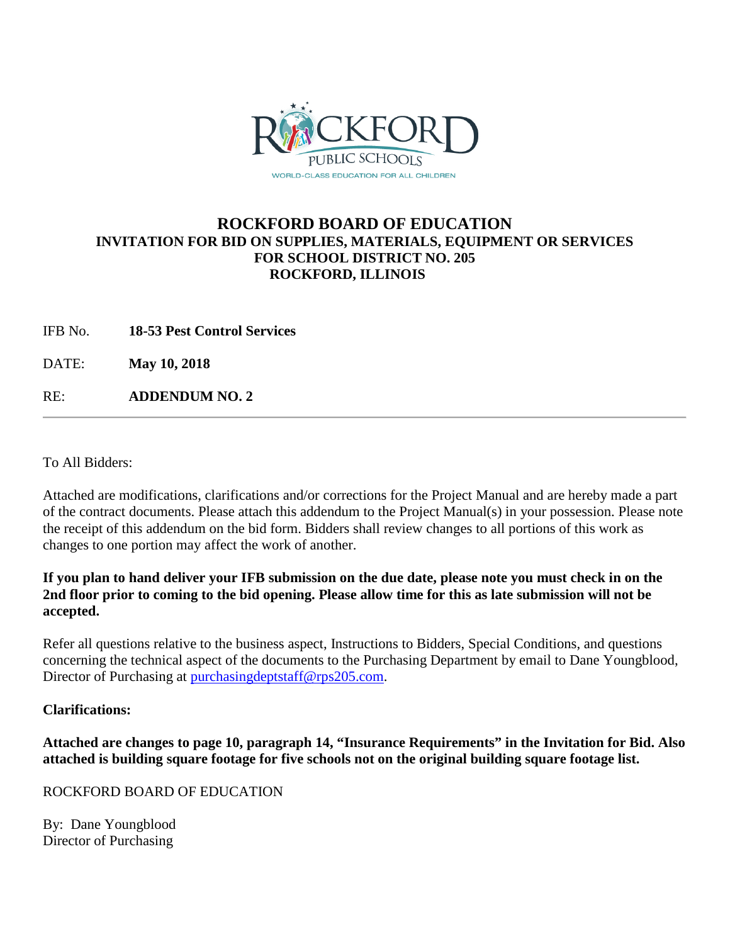

# **ROCKFORD BOARD OF EDUCATION INVITATION FOR BID ON SUPPLIES, MATERIALS, EQUIPMENT OR SERVICES FOR SCHOOL DISTRICT NO. 205 ROCKFORD, ILLINOIS**

IFB No. **18-53 Pest Control Services**

DATE: **May 10, 2018**

RE: **ADDENDUM NO. 2**

To All Bidders:

Attached are modifications, clarifications and/or corrections for the Project Manual and are hereby made a part of the contract documents. Please attach this addendum to the Project Manual(s) in your possession. Please note the receipt of this addendum on the bid form. Bidders shall review changes to all portions of this work as changes to one portion may affect the work of another.

### **If you plan to hand deliver your IFB submission on the due date, please note you must check in on the 2nd floor prior to coming to the bid opening. Please allow time for this as late submission will not be accepted.**

Refer all questions relative to the business aspect, Instructions to Bidders, Special Conditions, and questions concerning the technical aspect of the documents to the Purchasing Department by email to Dane Youngblood, Director of Purchasing at [purchasingdeptstaff@rps205.com.](mailto:purchasingdeptstaff@rps205.com)

#### **Clarifications:**

**Attached are changes to page 10, paragraph 14, "Insurance Requirements" in the Invitation for Bid. Also attached is building square footage for five schools not on the original building square footage list.**

#### ROCKFORD BOARD OF EDUCATION

By: Dane Youngblood Director of Purchasing